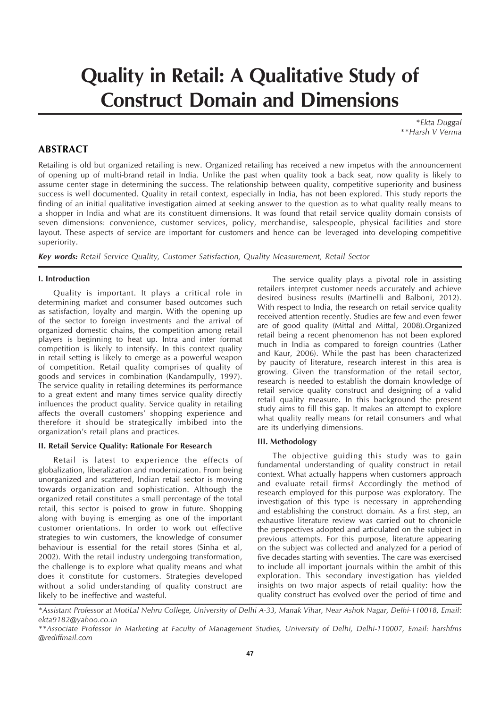# **Quality in Retail: A Qualitative Study of Construct Domain and Dimensions**

*\*Ekta Duggal \*\*Harsh V Verma*

## **ABSTRACT**

Retailing is old but organized retailing is new. Organized retailing has received a new impetus with the announcement of opening up of multi-brand retail in India. Unlike the past when quality took a back seat, now quality is likely to assume center stage in determining the success. The relationship between quality, competitive superiority and business success is well documented. Quality in retail context, especially in India, has not been explored. This study reports the finding of an initial qualitative investigation aimed at seeking answer to the question as to what quality really means to a shopper in India and what are its constituent dimensions. It was found that retail service quality domain consists of seven dimensions: convenience, customer services, policy, merchandise, salespeople, physical facilities and store layout. These aspects of service are important for customers and hence can be leveraged into developing competitive superiority.

*Key words: Retail Service Quality, Customer Satisfaction, Quality Measurement, Retail Sector*

#### **I. Introduction**

Quality is important. It plays a critical role in determining market and consumer based outcomes such as satisfaction, loyalty and margin. With the opening up of the sector to foreign investments and the arrival of organized domestic chains, the competition among retail players is beginning to heat up. Intra and inter format competition is likely to intensify. In this context quality in retail setting is likely to emerge as a powerful weapon of competition. Retail quality comprises of quality of goods and services in combination (Kandampully, 1997). The service quality in retailing determines its performance to a great extent and many times service quality directly influences the product quality. Service quality in retailing affects the overall customers' shopping experience and therefore it should be strategically imbibed into the organization's retail plans and practices.

#### **II. Retail Service Quality: Rationale For Research**

Retail is latest to experience the effects of globalization, liberalization and modernization. From being unorganized and scattered, Indian retail sector is moving towards organization and sophistication. Although the organized retail constitutes a small percentage of the total retail, this sector is poised to grow in future. Shopping along with buying is emerging as one of the important customer orientations. In order to work out effective strategies to win customers, the knowledge of consumer behaviour is essential for the retail stores (Sinha et al, 2002). With the retail industry undergoing transformation, the challenge is to explore what quality means and what does it constitute for customers. Strategies developed without a solid understanding of quality construct are likely to be ineffective and wasteful.

The service quality plays a pivotal role in assisting retailers interpret customer needs accurately and achieve desired business results (Martinelli and Balboni, 2012). With respect to India, the research on retail service quality received attention recently. Studies are few and even fewer are of good quality (Mittal and Mittal, 2008).Organized retail being a recent phenomenon has not been explored much in India as compared to foreign countries (Lather and Kaur, 2006). While the past has been characterized by paucity of literature, research interest in this area is growing. Given the transformation of the retail sector, research is needed to establish the domain knowledge of retail service quality construct and designing of a valid retail quality measure. In this background the present study aims to fill this gap. It makes an attempt to explore what quality really means for retail consumers and what are its underlying dimensions.

#### **III. Methodology**

The objective guiding this study was to gain fundamental understanding of quality construct in retail context. What actually happens when customers approach and evaluate retail firms? Accordingly the method of research employed for this purpose was exploratory. The investigation of this type is necessary in apprehending and establishing the construct domain. As a first step, an exhaustive literature review was carried out to chronicle the perspectives adopted and articulated on the subject in previous attempts. For this purpose, literature appearing on the subject was collected and analyzed for a period of five decades starting with seventies. The care was exercised to include all important journals within the ambit of this exploration. This secondary investigation has yielded insights on two major aspects of retail quality: how the quality construct has evolved over the period of time and

*\*Assistant Professor at MotiLal Nehru College, University of Delhi A-33, Manak Vihar, Near Ashok Nagar, Delhi-110018, Email: ekta9182@yahoo.co.in*

*<sup>\*\*</sup>Associate Professor in Marketing at Faculty of Management Studies, University of Delhi, Delhi-110007, Email: harshfms @rediffmail.com*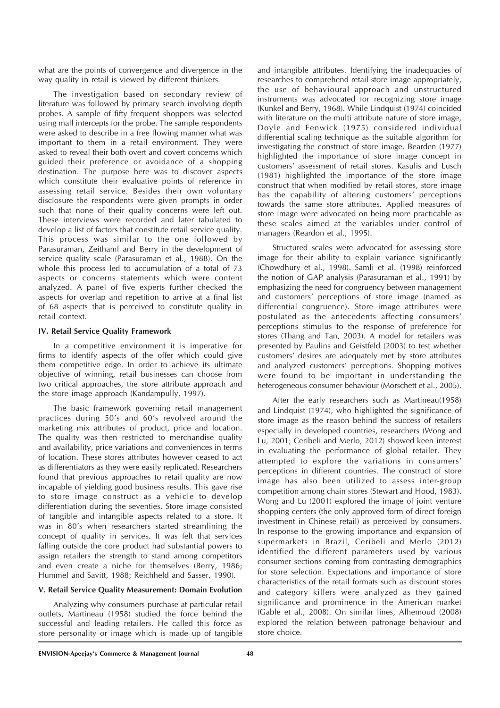what are the points of convergence and divergence in the way quality in retail is viewed by different thinkers.

The investigation based on secondary review of literature was followed by primary search involving depth probes. A sample of fifty frequent shoppers was selected using mall intercepts for the probe. The sample respondents were asked to describe in a free flowing manner what was important to them in a retail environment. They were asked to reveal their both overt and covert concerns which guided their preference or avoidance of a shopping destination. The purpose here was to discover aspects which constitute their evaluative points of reference in assessing retail service. Besides their own voluntary disclosure the respondents were given prompts in order such that none of their quality concerns were left out. These interviews were recorded and later tabulated to develop a list of factors that constitute retail service quality. This process was similar to the one followed by Parasuraman, Zeithaml and Berry in the development of service quality scale (Parasuraman et al., 1988). On the whole this process led to accumulation of a total of 73 aspects or concerns statements which were content analyzed. A panel of five experts further checked the aspects for overlap and repetition to arrive at a final list of 68 aspects that is perceived to constitute quality in retail context.

## **IV. Retail Service Quality Framework**

In a competitive environment it is imperative for firms to identify aspects of the offer which could give them competitive edge. In order to achieve its ultimate objective of winning, retail businesses can choose from two critical approaches, the store attribute approach and the store image approach (Kandampully, 1997).

The basic framework governing retail management practices during 50's and 60's revolved around the marketing mix attributes of product, price and location. The quality was then restricted to merchandise quality and availability, price variations and conveniences in terms of location. These stores attributes however ceased to act as differentiators as they were easily replicated. Researchers found that previous approaches to retail quality are now incapable of yielding good business results. This gave rise to store image construct as a vehicle to develop differentiation during the seventies. Store image consisted of tangible and intangible aspects related to a store. It was in 80's when researchers started streamlining the concept of quality in services. It was felt that services falling outside the core product had substantial powers to assign retailers the strength to stand among competitors and even create a niche for themselves (Berry, 1986; Hummel and Savitt, 1988; Reichheld and Sasser, 1990).

## **V. Retail Service Quality Measurement: Domain Evolution**

Analyzing why consumers purchase at particular retail outlets, Martineau (1958) studied the force behind the successful and leading retailers. He called this force as store personality or image which is made up of tangible and intangible attributes. Identifying the inadequacies of researches to comprehend retail store image appropriately, the use of behavioural approach and unstructured instruments was advocated for recognizing store image (Kunkel and Berry, 1968). While Lindquist (1974) coincided with literature on the multi attribute nature of store image. Doyle and Fenwick (1975) considered individual differential scaling technique as the suitable algorithm for investigating the construct of store image. Bearden (1977) highlighted the importance of store image concept in customers' assessment of retail stores. Kasulis and Lusch (1981) highlighted the importance of the store image construct that when modified by retail stores, store image has the capability of altering customers' perceptions towards the same store attributes. Applied measures of store image were advocated on being more practicable as these scales aimed at the variables under control of managers (Reardon et al., 1995).

Structured scales were advocated for assessing store image for their ability to explain variance significantly (Chowdhury et al., 1998). Samli et al. (1998) reinforced the notion of GAP analysis (Parasuraman et al., 1991) by emphasizing the need for congruency between management and customers' perceptions of store image (named as differential congruence). Store image attributes were postulated as the antecedents affecting consumers' perceptions stimulus to the response of preference for stores (Thang and Tan, 2003). A model for retailers was presented by Paulins and Geistfeld (2003) to test whether customers' desires are adequately met by store attributes and analyzed customers' perceptions. Shopping motives were found to be important in understanding the heterogeneous consumer behaviour (Morschett et al., 2005).

After the early researchers such as Martineau(1958) and Lindquist (1974), who highlighted the significance of store image as the reason behind the success of retailers especially in developed countries, researchers (Wong and Lu, 2001; Ceribeli and Merlo, 2012) showed keen interest in evaluating the performance of global retailer. They attempted to explore the variations in consumers' perceptions in different countries. The construct of store image has also been utilized to assess inter-group competition among chain stores (Stewart and Hood, 1983). Wong and Lu (2001) explored the image of joint venture shopping centers (the only approved form of direct foreign investment in Chinese retail) as perceived by consumers. In response to the growing importance and expansion of supermarkets in Brazil, Ceribeli and Merlo (2012) identified the different parameters used by various consumer sections coming from contrasting demographics for store selection. Expectations and importance of store characteristics of the retail formats such as discount stores and category killers were analyzed as they gained significance and prominence in the American market (Gable et al., 2008). On similar lines, Alhemoud (2008) explored the relation between patronage behaviour and store choice.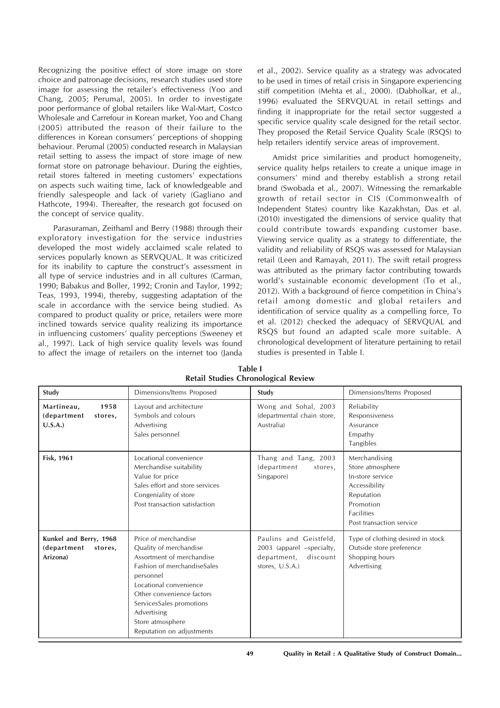Recognizing the positive effect of store image on store choice and patronage decisions, research studies used store image for assessing the retailer's effectiveness (Yoo and Chang, 2005; Perumal, 2005). In order to investigate poor performance of global retailers like Wal-Mart, Costco Wholesale and Carrefour in Korean market, Yoo and Chang (2005) attributed the reason of their failure to the differences in Korean consumers' perceptions of shopping behaviour. Perumal (2005) conducted research in Malaysian retail setting to assess the impact of store image of new format store on patronage behaviour. During the eighties, retail stores faltered in meeting customers' expectations on aspects such waiting time, lack of knowledgeable and friendly salespeople and lack of variety (Gagliano and Hathcote, 1994). Thereafter, the research got focused on the concept of service quality.

Parasuraman, Zeithaml and Berry (1988) through their exploratory investigation for the service industries developed the most widely acclaimed scale related to services popularly known as SERVQUAL. It was criticized for its inability to capture the construct's assessment in all type of service industries and in all cultures (Carman, 1990; Babakus and Boller, 1992; Cronin and Taylor, 1992; Teas, 1993, 1994), thereby, suggesting adaptation of the scale in accordance with the service being studied. As compared to product quality or price, retailers were more inclined towards service quality realizing its importance in influencing customers' quality perceptions (Sweeney et al., 1997). Lack of high service quality levels was found to affect the image of retailers on the internet too (Janda et al., 2002). Service quality as a strategy was advocated to be used in times of retail crisis in Singapore experiencing stiff competition (Mehta et al., 2000). (Dabholkar, et al., 1996) evaluated the SERVQUAL in retail settings and finding it inappropriate for the retail sector suggested a specific service quality scale designed for the retail sector. They proposed the Retail Service Quality Scale (RSQS) to help retailers identify service areas of improvement.

Amidst price similarities and product homogeneity, service quality helps retailers to create a unique image in consumers' mind and thereby establish a strong retail brand (Swobada et al., 2007). Witnessing the remarkable growth of retail sector in CIS (Commonwealth of Independent States) country like Kazakhstan, Das et al. (2010) investigated the dimensions of service quality that could contribute towards expanding customer base. Viewing service quality as a strategy to differentiate, the validity and reliability of RSQS was assessed for Malaysian retail (Leen and Ramayah, 2011). The swift retail progress was attributed as the primary factor contributing towards world's sustainable economic development (To et al., 2012). With a background of fierce competition in China's retail among domestic and global retailers and identification of service quality as a compelling force, To et al. (2012) checked the adequacy of SERVQUAL and RSQS but found an adapted scale more suitable. A chronological development of literature pertaining to retail studies is presented in Table I.

| Study                                                        | Dimensions/Items Proposed                                                                                                                                                                                                                                                  | Study                                                                                             | Dimensions/Items Proposed                                                                                                                          |
|--------------------------------------------------------------|----------------------------------------------------------------------------------------------------------------------------------------------------------------------------------------------------------------------------------------------------------------------------|---------------------------------------------------------------------------------------------------|----------------------------------------------------------------------------------------------------------------------------------------------------|
| 1958<br>Martineau,<br>(department<br>stores,<br>U.S.A.       | Layout and architecture<br>Symbols and colours<br>Advertising<br>Sales personnel                                                                                                                                                                                           | Wong and Sohal, 2003<br>(departmental chain store,<br>Australia)                                  | Reliability<br>Responsiveness<br>Assurance<br>Empathy<br>Tangibles                                                                                 |
| <b>Fisk, 1961</b>                                            | Locational convenience<br>Merchandise suitability<br>Value for price<br>Sales effort and store services<br>Congeniality of store<br>Post transaction satisfaction                                                                                                          | Thang and Tang, 2003<br>(department<br>stores,<br>Singapore)                                      | Merchandising<br>Store atmosphere<br>In-store service<br>Accessibility<br>Reputation<br>Promotion<br><b>Facilities</b><br>Post transaction service |
| Kunkel and Berry, 1968<br>(department<br>stores,<br>Arizona) | Price of merchandise<br>Quality of merchandise<br>Assortment of merchandise<br>Fashion of merchandiseSales<br>personnel<br>Locational convenience<br>Other convenience factors<br>ServicesSales promotions<br>Advertising<br>Store atmosphere<br>Reputation on adjustments | Paulins and Geistfeld,<br>2003 (apparel -specialty,<br>department,<br>discount<br>stores, U.S.A.) | Type of clothing desired in stock<br>Outside store preference<br>Shopping hours<br>Advertising                                                     |

**Table I Retail Studies Chronological Review**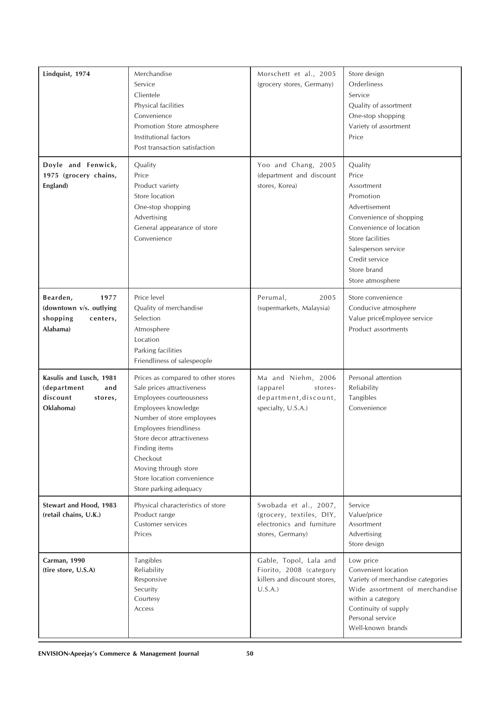| Lindquist, 1974                                                                   | Merchandise<br>Service<br>Clientele<br>Physical facilities<br>Convenience<br>Promotion Store atmosphere<br>Institutional factors<br>Post transaction satisfaction                                                                                                                                                           | Morschett et al., 2005<br>(grocery stores, Germany)                                                | Store design<br>Orderliness<br>Service<br>Quality of assortment<br>One-stop shopping<br>Variety of assortment<br>Price                                                                                             |
|-----------------------------------------------------------------------------------|-----------------------------------------------------------------------------------------------------------------------------------------------------------------------------------------------------------------------------------------------------------------------------------------------------------------------------|----------------------------------------------------------------------------------------------------|--------------------------------------------------------------------------------------------------------------------------------------------------------------------------------------------------------------------|
| Doyle and Fenwick,<br>1975 (grocery chains,<br>England)                           | Quality<br>Price<br>Product variety<br>Store location<br>One-stop shopping<br>Advertising<br>General appearance of store<br>Convenience                                                                                                                                                                                     | Yoo and Chang, 2005<br>(department and discount<br>stores, Korea)                                  | Quality<br>Price<br>Assortment<br>Promotion<br>Advertisement<br>Convenience of shopping<br>Convenience of location<br>Store facilities<br>Salesperson service<br>Credit service<br>Store brand<br>Store atmosphere |
| 1977<br>Bearden,<br>(downtown v/s. outlying<br>shopping<br>centers,<br>Alabama)   | Price level<br>Quality of merchandise<br>Selection<br>Atmosphere<br>Location<br>Parking facilities<br>Friendliness of salespeople                                                                                                                                                                                           | Perumal,<br>2005<br>(supermarkets, Malaysia)                                                       | Store convenience<br>Conducive atmosphere<br>Value priceEmployee service<br>Product assortments                                                                                                                    |
| Kasulis and Lusch, 1981<br>(department<br>and<br>discount<br>stores,<br>Oklahoma) | Prices as compared to other stores<br>Sale prices attractiveness<br>Employees courteousness<br>Employees knowledge<br>Number of store employees<br><b>Employees friendliness</b><br>Store decor attractiveness<br>Finding items<br>Checkout<br>Moving through store<br>Store location convenience<br>Store parking adequacy | Ma and Niehm, 2006<br>(apparel<br>stores-<br>department, discount,<br>specialty, U.S.A.)           | Personal attention<br>Reliability<br>Tangibles<br>Convenience                                                                                                                                                      |
| Stewart and Hood, 1983<br>(retail chains, U.K.)                                   | Physical characteristics of store<br>Product range<br>Customer services<br>Prices                                                                                                                                                                                                                                           | Swobada et al., 2007,<br>(grocery, textiles, DIY,<br>electronics and furniture<br>stores, Germany) | Service<br>Value/price<br>Assortment<br>Advertising<br>Store design                                                                                                                                                |
| Carman, 1990<br>(tire store, U.S.A)                                               | Tangibles<br>Reliability<br>Responsive<br>Security<br>Courtesy<br>Access                                                                                                                                                                                                                                                    | Gable, Topol, Lala and<br>Fiorito, 2008 (category<br>killers and discount stores,<br>U.S.A.        | Low price<br>Convenient location<br>Variety of merchandise categories<br>Wide assortment of merchandise<br>within a category<br>Continuity of supply<br>Personal service<br>Well-known brands                      |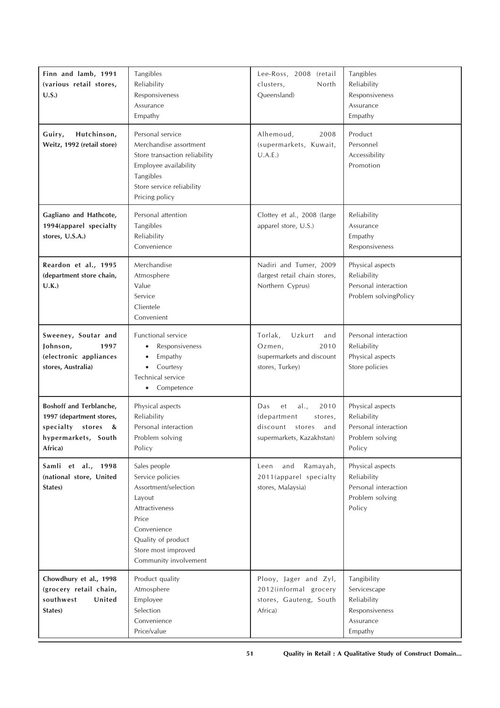| Finn and lamb, 1991<br>(various retail stores,<br>U.S.                                                                                                                                                                  | Tangibles<br>Reliability<br>Responsiveness<br>Assurance<br>Empathy                                                                                                                 | Lee-Ross, 2008 (retail<br>clusters,<br>North<br>Queensland)                                                   | Tangibles<br>Reliability<br>Responsiveness<br>Assurance<br>Empathy                   |
|-------------------------------------------------------------------------------------------------------------------------------------------------------------------------------------------------------------------------|------------------------------------------------------------------------------------------------------------------------------------------------------------------------------------|---------------------------------------------------------------------------------------------------------------|--------------------------------------------------------------------------------------|
| Personal service<br>Guiry,<br>Hutchinson,<br>Weitz, 1992 (retail store)<br>Merchandise assortment<br>Store transaction reliability<br>Employee availability<br>Tangibles<br>Store service reliability<br>Pricing policy |                                                                                                                                                                                    | Alhemoud,<br>2008<br>(supermarkets, Kuwait,<br>U.A.E.)                                                        | Product<br>Personnel<br>Accessibility<br>Promotion                                   |
| Gagliano and Hathcote,<br>1994(apparel specialty<br>stores, U.S.A.)                                                                                                                                                     | Personal attention<br>Tangibles<br>Reliability<br>Convenience                                                                                                                      | Clottey et al., 2008 (large<br>apparel store, U.S.)                                                           | Reliability<br>Assurance<br>Empathy<br>Responsiveness                                |
| Reardon et al., 1995<br>(department store chain,<br>U.K.)                                                                                                                                                               | Merchandise<br>Atmosphere<br>Value<br>Service<br>Clientele<br>Convenient                                                                                                           | Nadiri and Tumer, 2009<br>(largest retail chain stores,<br>Northern Cyprus)                                   | Physical aspects<br>Reliability<br>Personal interaction<br>Problem solvingPolicy     |
| Sweeney, Soutar and<br>Johnson,<br>1997<br>(electronic appliances<br>stores, Australia)                                                                                                                                 | Functional service<br>Responsiveness<br>Empathy<br>$\bullet$<br>Courtesy<br>$\bullet$<br>Technical service<br>Competence                                                           | Torlak,<br>Uzkurt<br>and<br>Ozmen,<br>2010<br>(supermarkets and discount<br>stores, Turkey)                   | Personal interaction<br>Reliability<br>Physical aspects<br>Store policies            |
| Boshoff and Terblanche,<br>1997 (department stores,<br>specialty stores<br>&<br>hypermarkets, South<br>Africa)                                                                                                          | Physical aspects<br>Reliability<br>Personal interaction<br>Problem solving<br>Policy                                                                                               | al.,<br>2010<br>Das<br>et<br>(department<br>stores,<br>discount<br>stores<br>and<br>supermarkets, Kazakhstan) | Physical aspects<br>Reliability<br>Personal interaction<br>Problem solving<br>Policy |
| Samli et al., 1998<br>(national store, United<br>States)                                                                                                                                                                | Sales people<br>Service policies<br>Assortment/selection<br>Layout<br>Attractiveness<br>Price<br>Convenience<br>Quality of product<br>Store most improved<br>Community involvement | and<br>Ramayah,<br>Leen<br>2011(apparel specialty<br>stores, Malaysia)                                        | Physical aspects<br>Reliability<br>Personal interaction<br>Problem solving<br>Policy |
| Chowdhury et al., 1998<br>(grocery retail chain,<br>southwest<br>United<br>States)                                                                                                                                      | Product quality<br>Atmosphere<br>Employee<br>Selection<br>Convenience<br>Price/value                                                                                               | Plooy, Jager and Zyl,<br>2012(informal grocery<br>stores, Gauteng, South<br>Africa)                           | Tangibility<br>Servicescape<br>Reliability<br>Responsiveness<br>Assurance<br>Empathy |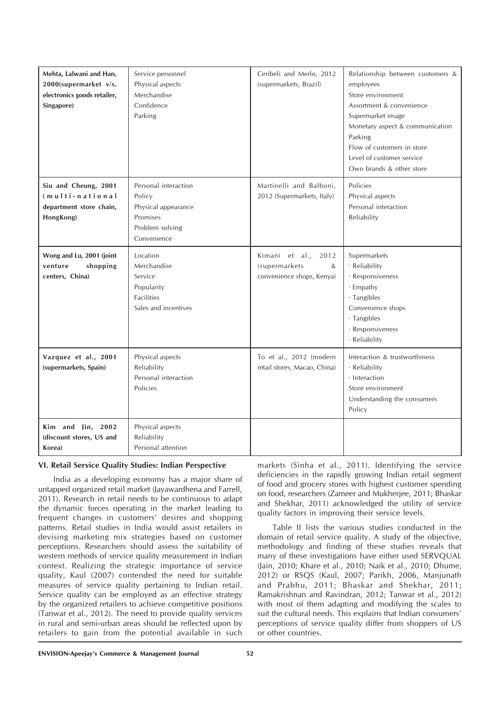| Mehta, Lalwani and Han,<br>2000(supermarket v/s.<br>electronics goods retailer,<br>Singapore) | Service personnel<br>Physical aspects<br>Merchandise<br>Confidence<br>Parking                       | Ceribeli and Merlo, 2012<br>(supermarkets, Brazil)                        | Relationship between customers &<br>employees<br>Store environment<br>Assortment & convenience<br>Supermarket image<br>Monetary aspect & communication<br>Parking<br>Flow of customers in store<br>Level of customer service<br>Own brands & other store |
|-----------------------------------------------------------------------------------------------|-----------------------------------------------------------------------------------------------------|---------------------------------------------------------------------------|----------------------------------------------------------------------------------------------------------------------------------------------------------------------------------------------------------------------------------------------------------|
| Siu and Cheung, 2001<br>(multi-national<br>department store chain,<br>HongKong)               | Personal interaction<br>Policy<br>Physical appearance<br>Promises<br>Problem solving<br>Convenience | Martinelli and Balboni,<br>2012 (Supermarkets, Italy)                     | Policies<br>Physical aspects<br>Personal interaction<br>Reliability                                                                                                                                                                                      |
| Wong and Lu, 2001 (joint<br>venture<br>shopping<br>centers, China)                            | Location<br>Merchandise<br>Service<br>Popularity<br><b>Facilities</b><br>Sales and incentives       | Kimani et al.,<br>2012<br>(supermarkets<br>&<br>convenience shops, Kenya) | Supermarkets<br>· Reliability<br>· Responsiveness<br>· Empathy<br>· Tangibles<br>Convenience shops<br>· Tangibles<br>· Responsiveness<br>· Reliability                                                                                                   |
| Vazquez et al., 2001<br>(supermarkets, Spain)                                                 | Physical aspects<br>Reliability<br>Personal interaction<br>Policies                                 | To et al., 2012 (modern<br>retail stores, Macao, China)                   | Interaction & trustworthiness<br>· Reliability<br>· Interaction<br>Store environment<br>Understanding the consumers<br>Policy                                                                                                                            |
| Kim and Jin, 2002<br>(discount stores, US and<br>Korea)                                       | Physical aspects<br>Reliability<br>Personal attention                                               |                                                                           |                                                                                                                                                                                                                                                          |

## **VI. Retail Service Quality Studies: Indian Perspective**

India as a developing economy has a major share of untapped organized retail market (Jayawardhena and Farrell, 2011). Research in retail needs to be continuous to adapt the dynamic forces operating in the market leading to frequent changes in customers' desires and shopping patterns. Retail studies in India would assist retailers in devising marketing mix strategies based on customer perceptions. Researchers should assess the suitability of western methods of service quality measurement in Indian context. Realizing the strategic importance of service quality, Kaul (2007) contended the need for suitable measures of service quality pertaining to Indian retail. Service quality can be employed as an effective strategy by the organized retailers to achieve competitive positions (Tanwar et al., 2012). The need to provide quality services in rural and semi-urban areas should be reflected upon by retailers to gain from the potential available in such

markets (Sinha et al., 2011). Identifying the service deficiencies in the rapidly growing Indian retail segment of food and grocery stores with highest customer spending on food, researchers (Zameer and Mukherjee, 2011; Bhaskar and Shekhar, 2011) acknowledged the utility of service quality factors in improving their service levels.

Table II lists the various studies conducted in the domain of retail service quality. A study of the objective, methodology and finding of these studies reveals that many of these investigations have either used SERVQUAL (Jain, 2010; Khare et al., 2010; Naik et al., 2010; Dhume, 2012) or RSQS (Kaul, 2007; Parikh, 2006, Manjunath and Prabhu, 2011; Bhaskar and Shekhar, 2011; Ramakrishnan and Ravindran, 2012; Tanwar et al., 2012) with most of them adapting and modifying the scales to suit the cultural needs. This explains that Indian consumers' perceptions of service quality differ from shoppers of US or other countries.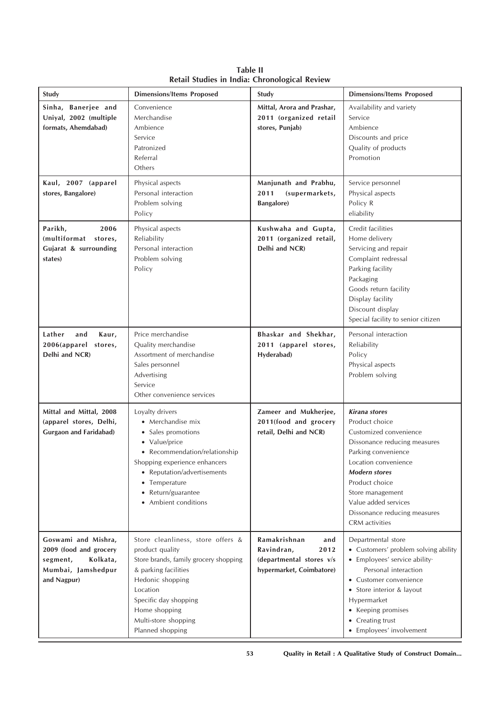| Study                                                                                                      | <b>Dimensions/Items Proposed</b>                                                                                                                                                                                                            | Study                                                                                             | <b>Dimensions/Items Proposed</b>                                                                                                                                                                                                                                                               |
|------------------------------------------------------------------------------------------------------------|---------------------------------------------------------------------------------------------------------------------------------------------------------------------------------------------------------------------------------------------|---------------------------------------------------------------------------------------------------|------------------------------------------------------------------------------------------------------------------------------------------------------------------------------------------------------------------------------------------------------------------------------------------------|
| Sinha, Banerjee and<br>Uniyal, 2002 (multiple<br>formats, Ahemdabad)                                       | Convenience<br>Merchandise<br>Ambience<br>Service<br>Patronized<br>Referral<br>Others                                                                                                                                                       | Mittal, Arora and Prashar,<br>2011 (organized retail<br>stores, Punjab)                           | Availability and variety<br>Service<br>Ambience<br>Discounts and price<br>Quality of products<br>Promotion                                                                                                                                                                                     |
| Kaul, 2007 (apparel<br>stores, Bangalore)                                                                  | Physical aspects<br>Personal interaction<br>Problem solving<br>Policy                                                                                                                                                                       | Manjunath and Prabhu,<br>2011<br>(supermarkets,<br><b>Bangalore</b> )                             | Service personnel<br>Physical aspects<br>Policy R<br>eliability                                                                                                                                                                                                                                |
| 2006<br>Parikh,<br>(multiformat stores,<br>Gujarat & surrounding<br>states)                                | Physical aspects<br>Reliability<br>Personal interaction<br>Problem solving<br>Policy                                                                                                                                                        | Kushwaha and Gupta,<br>2011 (organized retail,<br>Delhi and NCR)                                  | Credit facilities<br>Home delivery<br>Servicing and repair<br>Complaint redressal<br>Parking facility<br>Packaging<br>Goods return facility<br>Display facility<br>Discount display<br>Special facility to senior citizen                                                                      |
| Lather<br>and<br>Kaur,<br>2006(apparel stores,<br>Delhi and NCR)                                           | Price merchandise<br>Quality merchandise<br>Assortment of merchandise<br>Sales personnel<br>Advertising<br>Service<br>Other convenience services                                                                                            | Bhaskar and Shekhar,<br>2011 (apparel stores,<br>Hyderabad)                                       | Personal interaction<br>Reliability<br>Policy<br>Physical aspects<br>Problem solving                                                                                                                                                                                                           |
| Mittal and Mittal, 2008<br>(apparel stores, Delhi,<br><b>Gurgaon and Faridabad)</b>                        | Loyalty drivers<br>• Merchandise mix<br>• Sales promotions<br>• Value/price<br>• Recommendation/relationship<br>Shopping experience enhancers<br>• Reputation/advertisements<br>• Temperature<br>• Return/guarantee<br>• Ambient conditions | Zameer and Mukherjee,<br>2011(food and grocery<br>retail, Delhi and NCR)                          | <b>Kirana</b> stores<br>Product choice<br>Customized convenience<br>Dissonance reducing measures<br>Parking convenience<br>Location convenience<br><b>Modern stores</b><br>Product choice<br>Store management<br>Value added services<br>Dissonance reducing measures<br><b>CRM</b> activities |
| Goswami and Mishra,<br>2009 (food and grocery<br>Kolkata,<br>segment,<br>Mumbai, Jamshedpur<br>and Nagpur) | Store cleanliness, store offers &<br>product quality<br>Store brands, family grocery shopping<br>& parking facilities<br>Hedonic shopping<br>Location<br>Specific day shopping<br>Home shopping<br>Multi-store shopping<br>Planned shopping | Ramakrishnan<br>and<br>Ravindran,<br>2012<br>(departmental stores v/s<br>hypermarket, Coimbatore) | Departmental store<br>• Customers' problem solving ability<br>• Employees' service ability·<br>Personal interaction<br>• Customer convenience<br>• Store interior & layout<br>Hypermarket<br>• Keeping promises<br>• Creating trust<br>• Employees' involvement                                |

**Table II Retail Studies in India: Chronological Review**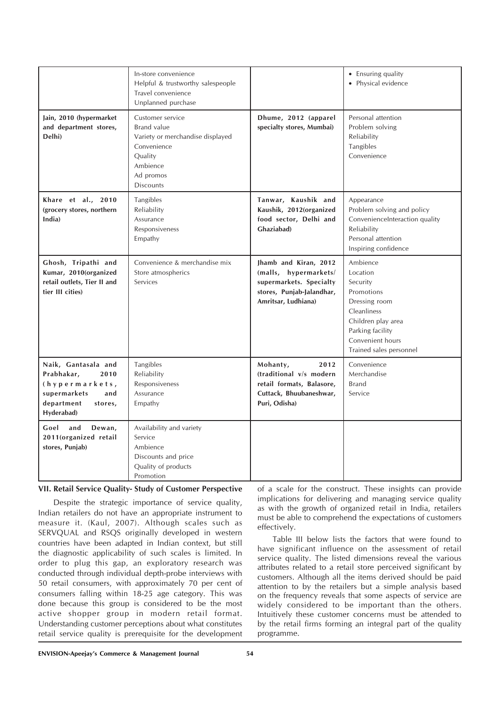|                                                                                                                           | In-store convenience<br>Helpful & trustworthy salespeople<br>Travel convenience<br>Unplanned purchase                                                    |                                                                                                                               | • Ensuring quality<br>• Physical evidence                                                                                                                               |
|---------------------------------------------------------------------------------------------------------------------------|----------------------------------------------------------------------------------------------------------------------------------------------------------|-------------------------------------------------------------------------------------------------------------------------------|-------------------------------------------------------------------------------------------------------------------------------------------------------------------------|
| Jain, 2010 (hypermarket<br>and department stores,<br>Delhi)                                                               | Customer service<br><b>Brand value</b><br>Variety or merchandise displayed<br>Convenience<br><b>Quality</b><br>Ambience<br>Ad promos<br><b>Discounts</b> | Dhume, 2012 (apparel<br>specialty stores, Mumbai)                                                                             | Personal attention<br>Problem solving<br>Reliability<br>Tangibles<br>Convenience                                                                                        |
| Khare et al., 2010<br>(grocery stores, northern<br>India)                                                                 | Tangibles<br>Reliability<br>Assurance<br>Responsiveness<br>Empathy                                                                                       | Tanwar, Kaushik and<br>Kaushik, 2012(organized<br>food sector, Delhi and<br>Ghaziabad)                                        | Appearance<br>Problem solving and policy<br>ConvenienceInteraction quality<br>Reliability<br>Personal attention<br>Inspiring confidence                                 |
| Ghosh, Tripathi and<br>Kumar, 2010(organized<br>retail outlets, Tier II and<br>tier III cities)                           | Convenience & merchandise mix<br>Store atmospherics<br>Services                                                                                          | Jhamb and Kiran, 2012<br>(malls, hypermarkets/<br>supermarkets. Specialty<br>stores, Punjab-Jalandhar,<br>Amritsar, Ludhiana) | Ambience<br>Location<br>Security<br>Promotions<br>Dressing room<br>Cleanliness<br>Children play area<br>Parking facility<br>Convenient hours<br>Trained sales personnel |
| Naik, Gantasala and<br>2010<br>Prabhakar,<br>(hypermarkets,<br>supermarkets<br>and<br>department<br>stores,<br>Hyderabad) | Tangibles<br>Reliability<br>Responsiveness<br>Assurance<br>Empathy                                                                                       | Mohanty,<br>2012<br>(traditional v/s modern<br>retail formats, Balasore,<br>Cuttack, Bhuubaneshwar,<br>Puri, Odisha)          | Convenience<br>Merchandise<br><b>Brand</b><br>Service                                                                                                                   |
| Goel<br>and<br>Dewan,<br>2011(organized retail<br>stores, Punjab)                                                         | Availability and variety<br>Service<br>Ambience<br>Discounts and price<br>Quality of products<br>Promotion                                               |                                                                                                                               |                                                                                                                                                                         |

## **VII. Retail Service Quality- Study of Customer Perspective**

Despite the strategic importance of service quality, Indian retailers do not have an appropriate instrument to measure it. (Kaul, 2007). Although scales such as SERVQUAL and RSQS originally developed in western countries have been adapted in Indian context, but still the diagnostic applicability of such scales is limited. In order to plug this gap, an exploratory research was conducted through individual depth-probe interviews with 50 retail consumers, with approximately 70 per cent of consumers falling within 18-25 age category. This was done because this group is considered to be the most active shopper group in modern retail format. Understanding customer perceptions about what constitutes retail service quality is prerequisite for the development

of a scale for the construct. These insights can provide implications for delivering and managing service quality as with the growth of organized retail in India, retailers must be able to comprehend the expectations of customers effectively.

Table III below lists the factors that were found to have significant influence on the assessment of retail service quality. The listed dimensions reveal the various attributes related to a retail store perceived significant by customers. Although all the items derived should be paid attention to by the retailers but a simple analysis based on the frequency reveals that some aspects of service are widely considered to be important than the others. Intuitively these customer concerns must be attended to by the retail firms forming an integral part of the quality programme.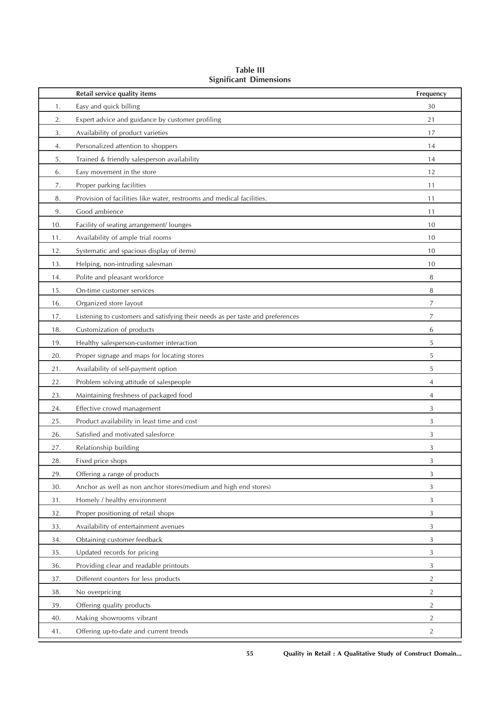|     | Retail service quality items                                                   | Frequency      |
|-----|--------------------------------------------------------------------------------|----------------|
| 1.  | Easy and quick billing                                                         | 30             |
| 2.  | Expert advice and guidance by customer profiling                               | 21             |
| 3.  | Availability of product varieties                                              | 17             |
| 4.  | Personalized attention to shoppers                                             | 14             |
| 5.  | Trained & friendly salesperson availability                                    | 14             |
| 6.  | Easy movement in the store                                                     | 12             |
| 7.  | Proper parking facilities                                                      | 11             |
| 8.  | Provision of facilities like water, restrooms and medical facilities.          | 11             |
| 9.  | Good ambience                                                                  | 11             |
| 10. | Facility of seating arrangement/ lounges                                       | 10             |
| 11. | Availability of ample trial rooms                                              | 10             |
| 12. | Systematic and spacious display of items)                                      | 10             |
| 13. | Helping, non-intruding salesman                                                | 10             |
| 14. | Polite and pleasant workforce                                                  | 8              |
| 15. | On-time customer services                                                      | 8              |
| 16. | Organized store layout                                                         | 7              |
| 17. | Listening to customers and satisfying their needs as per taste and preferences | 7              |
| 18. | Customization of products                                                      | 6              |
| 19. | Healthy salesperson-customer interaction                                       | 5              |
| 20. | Proper signage and maps for locating stores                                    | 5              |
| 21. | Availability of self-payment option                                            | 5              |
| 22. | Problem solving attitude of salespeople                                        | 4              |
| 23. | Maintaining freshness of packaged food                                         | 4              |
| 24. | Effective crowd management                                                     | 3              |
| 25. | Product availability in least time and cost                                    | 3              |
| 26. | Satisfied and motivated salesforce                                             | 3              |
| 27. | Relationship building                                                          | 3              |
| 28. | Fixed price shops                                                              | 3              |
| 29. | Offering a range of products                                                   | 3              |
| 30. | Anchor as well as non anchor stores(medium and high end stores)                | 3              |
| 31. | Homely / healthy environment                                                   | 3              |
| 32. | Proper positioning of retail shops                                             | 3              |
| 33. | Availability of entertainment avenues                                          | 3              |
| 34. | Obtaining customer feedback                                                    | 3              |
| 35. | Updated records for pricing                                                    | 3              |
| 36. | Providing clear and readable printouts                                         | 3              |
| 37. | Different counters for less products                                           | $\overline{2}$ |
| 38. | No overpricing                                                                 | $\overline{2}$ |
| 39. | Offering quality products                                                      | $\overline{2}$ |
| 40. | Making showrooms vibrant                                                       | $\overline{2}$ |
| 41. | Offering up-to-date and current trends                                         | $\overline{2}$ |

**Table III Significant Dimensions**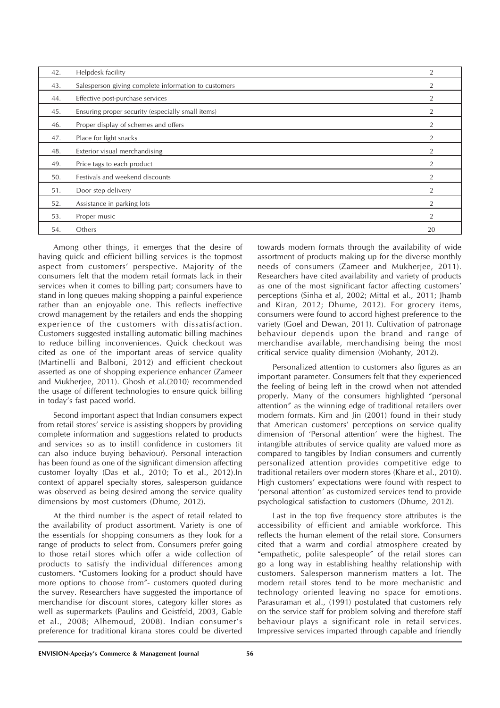| 42. | Helpdesk facility                                    | $\overline{2}$ |
|-----|------------------------------------------------------|----------------|
| 43. | Salesperson giving complete information to customers | 2              |
| 44. | Effective post-purchase services                     | $\overline{2}$ |
| 45. | Ensuring proper security (especially small items)    | 2              |
| 46. | Proper display of schemes and offers                 | 2              |
| 47. | Place for light snacks                               | 2              |
| 48. | Exterior visual merchandising                        | 2              |
| 49. | Price tags to each product                           | 2              |
| 50. | Festivals and weekend discounts                      | $\overline{2}$ |
| 51. | Door step delivery                                   | $\overline{2}$ |
| 52. | Assistance in parking lots                           | $\overline{2}$ |
| 53. | Proper music                                         | 2              |
| 54. | Others                                               | 20             |

Among other things, it emerges that the desire of having quick and efficient billing services is the topmost aspect from customers' perspective. Majority of the consumers felt that the modern retail formats lack in their services when it comes to billing part; consumers have to stand in long queues making shopping a painful experience rather than an enjoyable one. This reflects ineffective crowd management by the retailers and ends the shopping experience of the customers with dissatisfaction. Customers suggested installing automatic billing machines to reduce billing inconveniences. Quick checkout was cited as one of the important areas of service quality (Martinelli and Balboni, 2012) and efficient checkout asserted as one of shopping experience enhancer (Zameer and Mukherjee, 2011). Ghosh et al.(2010) recommended the usage of different technologies to ensure quick billing in today's fast paced world.

Second important aspect that Indian consumers expect from retail stores' service is assisting shoppers by providing complete information and suggestions related to products and services so as to instill confidence in customers (it can also induce buying behaviour). Personal interaction has been found as one of the significant dimension affecting customer loyalty (Das et al., 2010; To et al., 2012).In context of apparel specialty stores, salesperson guidance was observed as being desired among the service quality dimensions by most customers (Dhume, 2012).

At the third number is the aspect of retail related to the availability of product assortment. Variety is one of the essentials for shopping consumers as they look for a range of products to select from. Consumers prefer going to those retail stores which offer a wide collection of products to satisfy the individual differences among customers. "Customers looking for a product should have more options to choose from"- customers quoted during the survey. Researchers have suggested the importance of merchandise for discount stores, category killer stores as well as supermarkets (Paulins and Geistfeld, 2003, Gable et al., 2008; Alhemoud, 2008). Indian consumer's preference for traditional kirana stores could be diverted

towards modern formats through the availability of wide assortment of products making up for the diverse monthly needs of consumers (Zameer and Mukherjee, 2011). Researchers have cited availability and variety of products as one of the most significant factor affecting customers' perceptions (Sinha et al, 2002; Mittal et al., 2011; Jhamb and Kiran, 2012; Dhume, 2012). For grocery items, consumers were found to accord highest preference to the variety (Goel and Dewan, 2011). Cultivation of patronage behaviour depends upon the brand and range of merchandise available, merchandising being the most critical service quality dimension (Mohanty, 2012).

Personalized attention to customers also figures as an important parameter. Consumers felt that they experienced the feeling of being left in the crowd when not attended properly. Many of the consumers highlighted "personal attention" as the winning edge of traditional retailers over modern formats. Kim and Jin (2001) found in their study that American customers' perceptions on service quality dimension of 'Personal attention' were the highest. The intangible attributes of service quality are valued more as compared to tangibles by Indian consumers and currently personalized attention provides competitive edge to traditional retailers over modern stores (Khare et al., 2010). High customers' expectations were found with respect to 'personal attention' as customized services tend to provide psychological satisfaction to customers (Dhume, 2012).

Last in the top five frequency store attributes is the accessibility of efficient and amiable workforce. This reflects the human element of the retail store. Consumers cited that a warm and cordial atmosphere created by "empathetic, polite salespeople" of the retail stores can go a long way in establishing healthy relationship with customers. Salesperson mannerism matters a lot. The modern retail stores tend to be more mechanistic and technology oriented leaving no space for emotions. Parasuraman et al., (1991) postulated that customers rely on the service staff for problem solving and therefore staff behaviour plays a significant role in retail services. Impressive services imparted through capable and friendly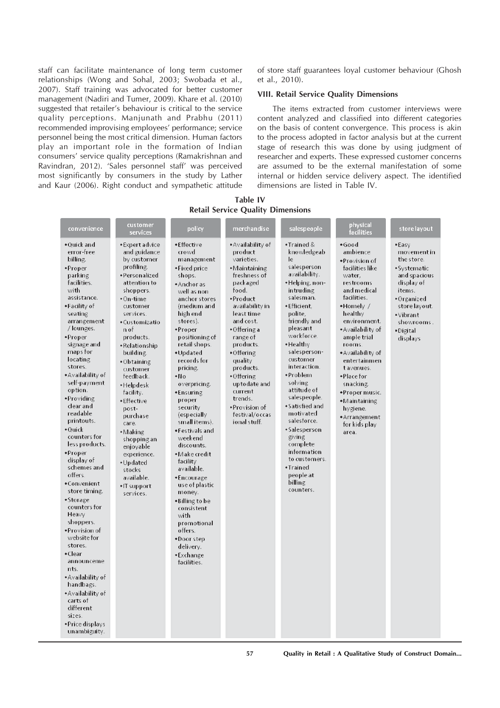staff can facilitate maintenance of long term customer relationships (Wong and Sohal, 2003; Swobada et al., 2007). Staff training was advocated for better customer management (Nadiri and Tumer, 2009). Khare et al. (2010) suggested that retailer's behaviour is critical to the service quality perceptions. Manjunath and Prabhu (2011) recommended improvising employees' performance; service personnel being the most critical dimension. Human factors play an important role in the formation of Indian consumers' service quality perceptions (Ramakrishnan and Ravindran, 2012). 'Sales personnel staff' was perceived most significantly by consumers in the study by Lather and Kaur (2006). Right conduct and sympathetic attitude of store staff guarantees loyal customer behaviour (Ghosh et al., 2010).

#### **VIII. Retail Service Quality Dimensions**

The items extracted from customer interviews were content analyzed and classified into different categories on the basis of content convergence. This process is akin to the process adopted in factor analysis but at the current stage of research this was done by using judgment of researcher and experts. These expressed customer concerns are assumed to be the external manifestation of some internal or hidden service delivery aspect. The identified dimensions are listed in Table IV.

**Table IV Retail Service Quality Dimensions**

| convenience                                                                                                                                                                                                                                                                                                                                                                                                                                                                                                                                                                                                                                                                                                                   | customer<br>services                                                                                                                                                                                                                                                                                                                                                                                                                                             | policy                                                                                                                                                                                                                                                                                                                                                                                                                                                                                                                                                                                            | merchandise                                                                                                                                                                                                                                                                                                                                      | salespeople                                                                                                                                                                                                                                                                                                                                                                                                                                                                  | physical<br>facilities                                                                                                                                                                                                                                                                                                                                                   | store layout                                                                                                                                                                  |
|-------------------------------------------------------------------------------------------------------------------------------------------------------------------------------------------------------------------------------------------------------------------------------------------------------------------------------------------------------------------------------------------------------------------------------------------------------------------------------------------------------------------------------------------------------------------------------------------------------------------------------------------------------------------------------------------------------------------------------|------------------------------------------------------------------------------------------------------------------------------------------------------------------------------------------------------------------------------------------------------------------------------------------------------------------------------------------------------------------------------------------------------------------------------------------------------------------|---------------------------------------------------------------------------------------------------------------------------------------------------------------------------------------------------------------------------------------------------------------------------------------------------------------------------------------------------------------------------------------------------------------------------------------------------------------------------------------------------------------------------------------------------------------------------------------------------|--------------------------------------------------------------------------------------------------------------------------------------------------------------------------------------------------------------------------------------------------------------------------------------------------------------------------------------------------|------------------------------------------------------------------------------------------------------------------------------------------------------------------------------------------------------------------------------------------------------------------------------------------------------------------------------------------------------------------------------------------------------------------------------------------------------------------------------|--------------------------------------------------------------------------------------------------------------------------------------------------------------------------------------------------------------------------------------------------------------------------------------------------------------------------------------------------------------------------|-------------------------------------------------------------------------------------------------------------------------------------------------------------------------------|
| •Quick and<br>error-free<br>billing.<br>•Proper<br>parking<br>facilities.<br>with<br>assistance.<br>•Facility of<br>seating<br>arrangement<br>/ lounges.<br>•Proper<br>signage and<br>maps for<br>locating<br>stores.<br>• Availability of<br>self-payment<br>option.<br>*Providing<br>clear and<br>readable<br>printouts.<br>$\bullet$ Quick<br>counters for<br>less products.<br>*Proper<br>display of<br>schemes and<br>offers.<br>• Convenient<br>store timing.<br>•Storage<br>counters for<br>Heavy<br>shoppers.<br>*Provision of<br>website for<br>stores.<br>•Clear<br>announceme<br>nts.<br>*Availability of<br>handbags.<br>• Availability of<br>carts of<br>different<br>sizes.<br>• Price displays<br>unambiguity. | • Expert advice<br>and guidance<br>by customer<br>profiling.<br>*Personalized<br>attention to<br>shoppers.<br>$\bullet$ On-time<br>customer<br>services.<br>• Customizatio<br>n of<br>products.<br>•Relationship<br>building.<br>•Obtaining<br>customer<br>feedback.<br>•Helpdesk<br>facility.<br>•Effective<br>post-<br>purchase<br>care.<br>•Making<br>shopping an<br>enjovable<br>experience.<br>•Updated<br>stocks<br>available.<br>•IT support<br>services. | • Effective<br>crowd<br>management<br>• Fixed price<br>shops.<br>*Anchor as<br>well as non<br>anchor stores<br>(medium and<br>high end<br>stores).<br>•Proper<br>positioning of<br>retail shops.<br>•Updated<br>records for<br>pricing.<br>$\cdot$ No<br>overpricing.<br>*Ensuring<br>proper<br>security<br>(especially<br>small items).<br>*Festivals and<br>weekend<br>discounts.<br>• Make credit<br>facility<br>available.<br>*Encourage<br>use of plastic<br>money.<br>*Billing to be<br>consistent<br>with<br>promotional<br>offers.<br>*Door step<br>delivery.<br>•Exchange<br>facilities. | • Availability of<br>product<br>varieties.<br>• Maintaining<br>freshness of<br>packaged<br>food.<br>•Product<br>availability in<br>least time<br>and cost.<br>• Offering a<br>range of<br>products.<br>• Offering<br>quality<br>products.<br>• Offering<br>uptodate and<br>current<br>trends.<br>*Provision of<br>festival/occas<br>ional stuff. | $\bullet$ Trained &<br>knowledgeab<br>le<br>salesperson<br>availability.<br>•Helping, non-<br>intruding<br>salesman.<br>·Efficient,<br>polite.<br>friendly and<br>pleasant<br>workforce.<br>•Healthy<br>salesperson-<br>customer<br>interaction.<br>•Problem<br>solving<br>attitude of<br>salespeople.<br>• Satisfied and<br>motivated<br>salesforce.<br>•Salesperson<br>giving<br>complete<br>information<br>to customers.<br>•Trained<br>people at<br>billing<br>counters. | • Good<br>ambience<br>*Provision of<br>facilities like<br>water.<br>restrooms<br>and medical<br>facilities.<br>•Homely /<br>healthy<br>environment.<br>• Availability of<br>ample trial<br>rooms.<br>• Availability of<br>entertainmen<br>t avenues.<br>• Place for<br>snacking.<br>•Proper music.<br>•Maintaining<br>hygiene.<br>*Arrangement<br>for kids play<br>area. | •Easy<br>movement in<br>the store.<br>• Systematic<br>and spacious<br>display of<br>items.<br>• Organized<br>store layout.<br>• Vibrant<br>showrooms.<br>•Digital<br>displays |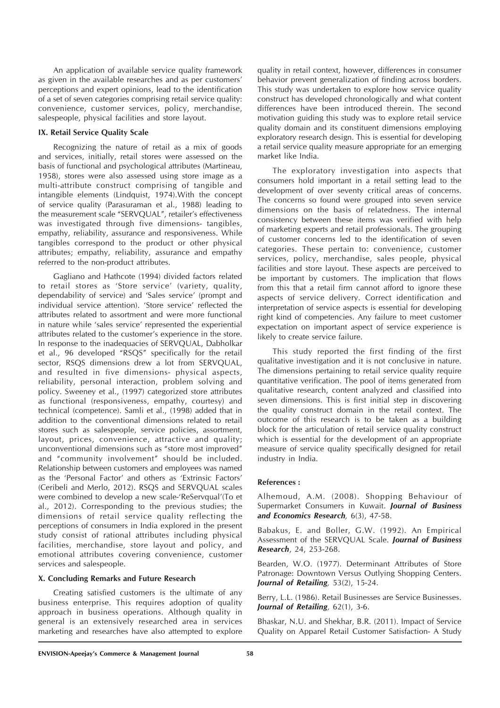An application of available service quality framework as given in the available researches and as per customers' perceptions and expert opinions, lead to the identification of a set of seven categories comprising retail service quality: convenience, customer services, policy, merchandise, salespeople, physical facilities and store layout.

## **IX. Retail Service Quality Scale**

Recognizing the nature of retail as a mix of goods and services, initially, retail stores were assessed on the basis of functional and psychological attributes (Martineau, 1958), stores were also assessed using store image as a multi-attribute construct comprising of tangible and intangible elements (Lindquist, 1974).With the concept of service quality (Parasuraman et al., 1988) leading to the measurement scale "SERVQUAL", retailer's effectiveness was investigated through five dimensions- tangibles, empathy, reliability, assurance and responsiveness. While tangibles correspond to the product or other physical attributes; empathy, reliability, assurance and empathy referred to the non-product attributes.

Gagliano and Hathcote (1994) divided factors related to retail stores as 'Store service' (variety, quality, dependability of service) and 'Sales service' (prompt and individual service attention). 'Store service' reflected the attributes related to assortment and were more functional in nature while 'sales service' represented the experiential attributes related to the customer's experience in the store. In response to the inadequacies of SERVQUAL, Dabholkar et al., 96 developed "RSQS" specifically for the retail sector, RSQS dimensions drew a lot from SERVQUAL, and resulted in five dimensions- physical aspects, reliability, personal interaction, problem solving and policy. Sweeney et al., (1997) categorized store attributes as functional (responsiveness, empathy, courtesy) and technical (competence). Samli et al., (1998) added that in addition to the conventional dimensions related to retail stores such as salespeople, service policies, assortment, layout, prices, convenience, attractive and quality; unconventional dimensions such as "store most improved" and "community involvement" should be included. Relationship between customers and employees was named as the 'Personal Factor' and others as 'Extrinsic Factors' (Ceribeli and Merlo, 2012). RSQS and SERVQUAL scales were combined to develop a new scale-'ReServqual'(To et al., 2012). Corresponding to the previous studies; the dimensions of retail service quality reflecting the perceptions of consumers in India explored in the present study consist of rational attributes including physical facilities, merchandise, store layout and policy, and emotional attributes covering convenience, customer services and salespeople.

#### **X. Concluding Remarks and Future Research**

Creating satisfied customers is the ultimate of any business enterprise. This requires adoption of quality approach in business operations. Although quality in general is an extensively researched area in services marketing and researches have also attempted to explore quality in retail context, however, differences in consumer behavior prevent generalization of finding across borders. This study was undertaken to explore how service quality construct has developed chronologically and what content differences have been introduced therein. The second motivation guiding this study was to explore retail service quality domain and its constituent dimensions employing exploratory research design. This is essential for developing a retail service quality measure appropriate for an emerging market like India.

The exploratory investigation into aspects that consumers hold important in a retail setting lead to the development of over seventy critical areas of concerns. The concerns so found were grouped into seven service dimensions on the basis of relatedness. The internal consistency between these items was verified with help of marketing experts and retail professionals. The grouping of customer concerns led to the identification of seven categories. These pertain to: convenience, customer services, policy, merchandise, sales people, physical facilities and store layout. These aspects are perceived to be important by customers. The implication that flows from this that a retail firm cannot afford to ignore these aspects of service delivery. Correct identification and interpretation of service aspects is essential for developing right kind of competencies. Any failure to meet customer expectation on important aspect of service experience is likely to create service failure.

This study reported the first finding of the first qualitative investigation and it is not conclusive in nature. The dimensions pertaining to retail service quality require quantitative verification. The pool of items generated from qualitative research, content analyzed and classified into seven dimensions. This is first initial step in discovering the quality construct domain in the retail context. The outcome of this research is to be taken as a building block for the articulation of retail service quality construct which is essential for the development of an appropriate measure of service quality specifically designed for retail industry in India.

#### **References :**

Alhemoud, A.M. (2008). Shopping Behaviour of Supermarket Consumers in Kuwait. *Journal of Business and Economics Research,* 6(3), 47-58.

Babakus, E. and Boller, G.W. (1992). An Empirical Assessment of the SERVQUAL Scale. *Journal of Business Research*, 24, 253-268.

Bearden, W.O. (1977). Determinant Attributes of Store Patronage: Downtown Versus Outlying Shopping Centers. *Journal of Retailing,* 53(2), 15-24.

Berry, L.L. (1986). Retail Businesses are Service Businesses. *Journal of Retailing,* 62(1), 3-6.

Bhaskar, N.U. and Shekhar, B.R. (2011). Impact of Service Quality on Apparel Retail Customer Satisfaction- A Study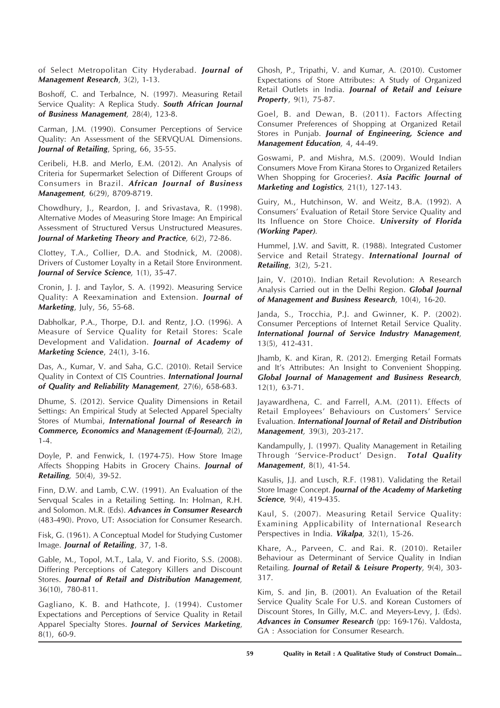of Select Metropolitan City Hyderabad. *Journal of Management Research*, 3(2), 1-13.

Boshoff, C. and Terbalnce, N. (1997). Measuring Retail Service Quality: A Replica Study. *South African Journal of Business Management,* 28(4), 123-8.

Carman, J.M. (1990). Consumer Perceptions of Service Quality: An Assessment of the SERVQUAL Dimensions. *Journal of Retailing*, Spring, 66, 35-55.

Ceribeli, H.B. and Merlo, E.M. (2012). An Analysis of Criteria for Supermarket Selection of Different Groups of Consumers in Brazil. *African Journal of Business Management,* 6(29), 8709-8719.

Chowdhury, J., Reardon, J. and Srivastava, R. (1998). Alternative Modes of Measuring Store Image: An Empirical Assessment of Structured Versus Unstructured Measures. *Journal of Marketing Theory and Practice,* 6(2), 72-86.

Clottey, T.A., Collier, D.A. and Stodnick, M. (2008). Drivers of Customer Loyalty in a Retail Store Environment. *Journal of Service Science,* 1(1), 35-47.

Cronin, J. J. and Taylor, S. A. (1992). Measuring Service Quality: A Reexamination and Extension. *Journal of Marketing*, July, 56, 55-68.

Dabholkar, P.A., Thorpe, D.I. and Rentz, J.O. (1996). A Measure of Service Quality for Retail Stores: Scale Development and Validation. *Journal of Academy of Marketing Science*, 24(1), 3-16.

Das, A., Kumar, V. and Saha, G.C. (2010). Retail Service Quality in Context of CIS Countries. *International Journal of Quality and Reliability Management,* 27(6), 658-683.

Dhume, S. (2012). Service Quality Dimensions in Retail Settings: An Empirical Study at Selected Apparel Specialty Stores of Mumbai, *International Journal of Research in Commerce, Economics and Management (E-Journal),* 2(2), 1-4.

Doyle, P. and Fenwick, I. (1974-75). How Store Image Affects Shopping Habits in Grocery Chains. *Journal of Retailing,* 50(4), 39-52.

Finn, D.W. and Lamb, C.W. (1991). An Evaluation of the Servqual Scales in a Retailing Setting. In: Holman, R.H. and Solomon. M.R. (Eds). *Advances in Consumer Research* (483-490). Provo, UT: Association for Consumer Research.

Fisk, G. (1961). A Conceptual Model for Studying Customer Image. *Journal of Retailing*, 37, 1-8.

Gable, M., Topol, M.T., Lala, V. and Fiorito, S.S. (2008). Differing Perceptions of Category Killers and Discount Stores. *Journal of Retail and Distribution Management,* 36(10), 780-811.

Gagliano, K. B. and Hathcote, J. (1994). Customer Expectations and Perceptions of Service Quality in Retail Apparel Specialty Stores. *Journal of Services Marketing*, 8(1), 60-9.

Ghosh, P., Tripathi, V. and Kumar, A. (2010). Customer Expectations of Store Attributes: A Study of Organized Retail Outlets in India. *Journal of Retail and Leisure Property*, 9(1), 75-87.

Goel, B. and Dewan, B. (2011). Factors Affecting Consumer Preferences of Shopping at Organized Retail Stores in Punjab. *Journal of Engineering, Science and Management Education,* 4, 44-49.

Goswami, P. and Mishra, M.S. (2009). Would Indian Consumers Move From Kirana Stores to Organized Retailers When Shopping for Groceries?. *Asia Pacific Journal of Marketing and Logistics,* 21(1), 127-143.

Guiry, M., Hutchinson, W. and Weitz, B.A. (1992). A Consumers' Evaluation of Retail Store Service Quality and Its Influence on Store Choice. *University of Florida (Working Paper)*.

Hummel, J.W. and Savitt, R. (1988). Integrated Customer Service and Retail Strategy. *International Journal of Retailing*, 3(2), 5-21.

Jain, V. (2010). Indian Retail Revolution: A Research Analysis Carried out in the Delhi Region. *Global Journal of Management and Business Research,* 10(4), 16-20.

Janda, S., Trocchia, P.J. and Gwinner, K. P. (2002). Consumer Perceptions of Internet Retail Service Quality. *International Journal of Service Industry Management,* 13(5), 412-431.

Jhamb, K. and Kiran, R. (2012). Emerging Retail Formats and It's Attributes: An Insight to Convenient Shopping. *Global Journal of Management and Business Research,* 12(1), 63-71.

Jayawardhena, C. and Farrell, A.M. (2011). Effects of Retail Employees' Behaviours on Customers' Service Evaluation. *International Journal of Retail and Distribution Management,* 39(3), 203-217.

Kandampully, J. (1997). Quality Management in Retailing Through 'Service-Product' Design. *Total Quality Management*, 8(1), 41-54.

Kasulis, J.J. and Lusch, R.F. (1981). Validating the Retail Store Image Concept. *Journal of the Academy of Marketing Science,* 9(4), 419-435.

Kaul, S. (2007). Measuring Retail Service Quality: Examining Applicability of International Research Perspectives in India. *Vikalpa,* 32(1), 15-26.

Khare, A., Parveen, C. and Rai. R. (2010). Retailer Behaviour as Determinant of Service Quality in Indian Retailing. *Journal of Retail & Leisure Property,* 9(4), 303- 317.

Kim, S. and Jin, B. (2001). An Evaluation of the Retail Service Quality Scale For U.S. and Korean Customers of Discount Stores, In Gilly, M.C. and Meyers-Levy, J. (Eds). *Advances in Consumer Research* (pp: 169-176). Valdosta, GA : Association for Consumer Research.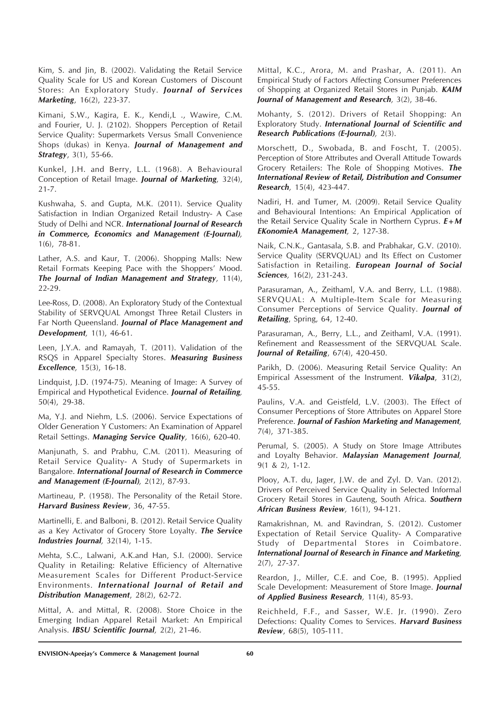Kim, S. and Jin, B. (2002). Validating the Retail Service Quality Scale for US and Korean Customers of Discount Stores: An Exploratory Study. *Journal of Services Marketing*, 16(2), 223-37.

Kimani, S.W., Kagira, E. K., Kendi,L ., Wawire, C.M. and Fourier, U. J. (2102). Shoppers Perception of Retail Service Quality: Supermarkets Versus Small Convenience Shops (dukas) in Kenya. *Journal of Management and Strategy*, 3(1), 55-66.

Kunkel, J.H. and Berry, L.L. (1968). A Behavioural Conception of Retail Image. *Journal of Marketing,* 32(4), 21-7.

Kushwaha, S. and Gupta, M.K. (2011). Service Quality Satisfaction in Indian Organized Retail Industry- A Case Study of Delhi and NCR. *International Journal of Research in Commerce, Economics and Management (E-Journal),* 1(6), 78-81.

Lather, A.S. and Kaur, T. (2006). Shopping Malls: New Retail Formats Keeping Pace with the Shoppers' Mood. *The Journal of Indian Management and Strategy,* 11(4), 22-29.

Lee-Ross, D. (2008). An Exploratory Study of the Contextual Stability of SERVQUAL Amongst Three Retail Clusters in Far North Queensland. *Journal of Place Management and Development,* 1(1), 46-61.

Leen, J.Y.A. and Ramayah, T. (2011). Validation of the RSQS in Apparel Specialty Stores. *Measuring Business Excellence,* 15(3), 16-18.

Lindquist, J.D. (1974-75). Meaning of Image: A Survey of Empirical and Hypothetical Evidence. *Journal of Retailing,* 50(4), 29-38.

Ma, Y.J. and Niehm, L.S. (2006). Service Expectations of Older Generation Y Customers: An Examination of Apparel Retail Settings. *Managing Service Quality,* 16(6), 620-40.

Manjunath, S. and Prabhu, C.M. (2011). Measuring of Retail Service Quality- A Study of Supermarkets in Bangalore. *International Journal of Research in Commerce and Management (E-Journal),* 2(12), 87-93.

Martineau, P. (1958). The Personality of the Retail Store. *Harvard Business Review*, 36, 47-55.

Martinelli, E. and Balboni, B. (2012). Retail Service Quality as a Key Activator of Grocery Store Loyalty. *The Service Industries Journal,* 32(14), 1-15.

Mehta, S.C., Lalwani, A.K.and Han, S.I. (2000). Service Quality in Retailing: Relative Efficiency of Alternative Measurement Scales for Different Product-Service Environments. *International Journal of Retail and Distribution Management*, 28(2), 62-72.

Mittal, A. and Mittal, R. (2008). Store Choice in the Emerging Indian Apparel Retail Market: An Empirical Analysis. *IBSU Scientific Journal,* 2(2), 21-46.

Mittal, K.C., Arora, M. and Prashar, A. (2011). An Empirical Study of Factors Affecting Consumer Preferences of Shopping at Organized Retail Stores in Punjab. *KAIM Journal of Management and Research,* 3(2), 38-46.

Mohanty, S. (2012). Drivers of Retail Shopping: An Exploratory Study. *International Journal of Scientific and Research Publications (E-Journal),* 2(3).

Morschett, D., Swobada, B. and Foscht, T. (2005). Perception of Store Attributes and Overall Attitude Towards Grocery Retailers: The Role of Shopping Motives. *The International Review of Retail, Distribution and Consumer Research,* 15(4), 423-447.

Nadiri, H. and Tumer, M. (2009). Retail Service Quality and Behavioural Intentions: An Empirical Application of the Retail Service Quality Scale in Northern Cyprus. *E+M EKonomieA Management,* 2, 127-38.

Naik, C.N.K., Gantasala, S.B. and Prabhakar, G.V. (2010). Service Quality (SERVQUAL) and Its Effect on Customer Satisfaction in Retailing. *European Journal of Social Sciences,* 16(2), 231-243.

Parasuraman, A., Zeithaml, V.A. and Berry, L.L. (1988). SERVQUAL: A Multiple-Item Scale for Measuring Consumer Perceptions of Service Quality. *Journal of Retailing*, Spring, 64, 12-40.

Parasuraman, A., Berry, L.L., and Zeithaml, V.A. (1991). Refinement and Reassessment of the SERVQUAL Scale. *Journal of Retailing*, 67(4), 420-450.

Parikh, D. (2006). Measuring Retail Service Quality: An Empirical Assessment of the Instrument. *Vikalpa*, 31(2), 45-55.

Paulins, V.A. and Geistfeld, L.V. (2003). The Effect of Consumer Perceptions of Store Attributes on Apparel Store Preference. *Journal of Fashion Marketing and Management,* 7(4), 371-385.

Perumal, S. (2005). A Study on Store Image Attributes and Loyalty Behavior. *Malaysian Management Journal,* 9(1 & 2), 1-12.

Plooy, A.T. du, Jager, J.W. de and Zyl. D. Van. (2012). Drivers of Perceived Service Quality in Selected Informal Grocery Retail Stores in Gauteng, South Africa. *Southern African Business Review,* 16(1), 94-121.

Ramakrishnan, M. and Ravindran, S. (2012). Customer Expectation of Retail Service Quality- A Comparative Study of Departmental Stores in Coimbatore. *International Journal of Research in Finance and Marketing,* 2(7), 27-37.

Reardon, J., Miller, C.E. and Coe, B. (1995). Applied Scale Development: Measurement of Store Image. *Journal of Applied Business Research,* 11(4), 85-93.

Reichheld, F.F., and Sasser, W.E. Jr. (1990). Zero Defections: Quality Comes to Services. *Harvard Business Review*, 68(5), 105-111.